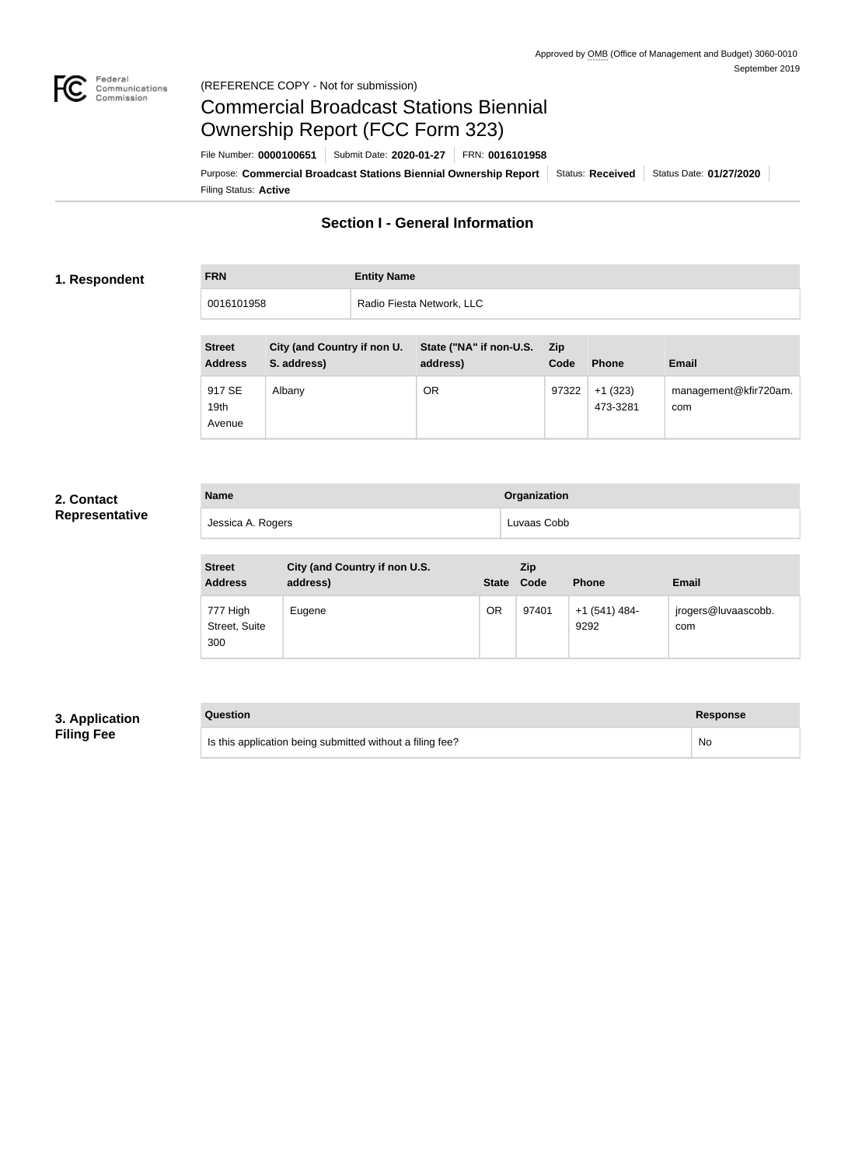

#### Federal<br>Communications<br>Commission (REFERENCE COPY - Not for submission)

# Commercial Broadcast Stations Biennial Ownership Report (FCC Form 323)

Filing Status: **Active** Purpose: Commercial Broadcast Stations Biennial Ownership Report Status: Received Status Date: 01/27/2020 File Number: **0000100651** Submit Date: **2020-01-27** FRN: **0016101958**

# **Section I - General Information**

#### **1. Respondent**

| <b>FRN</b> | <b>Entity Name</b>        |
|------------|---------------------------|
| 0016101958 | Radio Fiesta Network, LLC |

| <b>Street</b><br><b>Address</b>      | City (and Country if non U.<br>S. address) | State ("NA" if non-U.S.<br>address) | <b>Zip</b><br>Code | <b>Phone</b>          | <b>Email</b>                 |
|--------------------------------------|--------------------------------------------|-------------------------------------|--------------------|-----------------------|------------------------------|
| 917 SE<br>19 <sub>th</sub><br>Avenue | Albany                                     | <b>OR</b>                           | 97322              | $+1(323)$<br>473-3281 | management@kfir720am.<br>com |

#### **2. Contact Representative**

| <b>Name</b>       | Organization |
|-------------------|--------------|
| Jessica A. Rogers | Luvaas Cobb  |

| <b>Street</b><br><b>Address</b>  | City (and Country if non U.S.<br>address) | <b>State</b> | Zip<br>Code | <b>Phone</b>          | <b>Email</b>               |
|----------------------------------|-------------------------------------------|--------------|-------------|-----------------------|----------------------------|
| 777 High<br>Street, Suite<br>300 | Eugene                                    | OR           | 97401       | +1 (541) 484-<br>9292 | jrogers@luvaascobb.<br>com |

## **3. Application Filing Fee**

| Question                                                  | Response |
|-----------------------------------------------------------|----------|
| Is this application being submitted without a filing fee? | No       |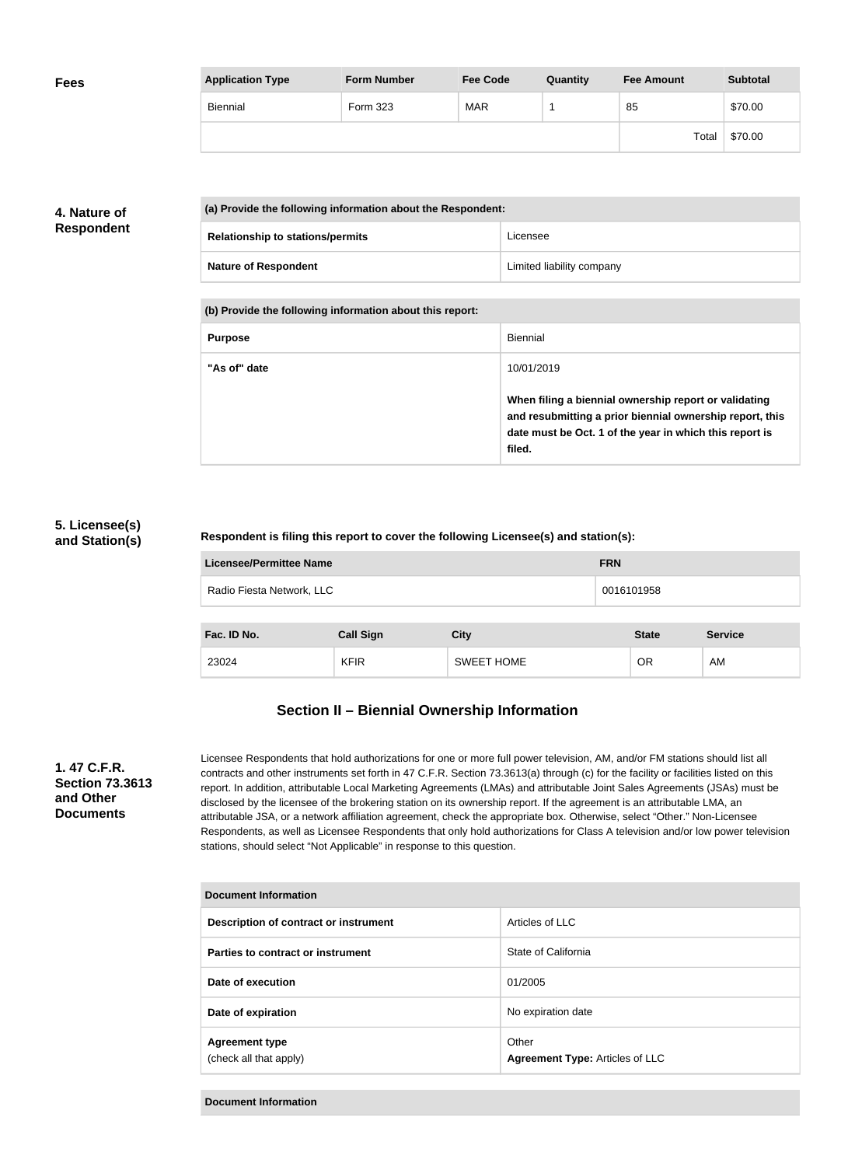| <b>Fees</b> | <b>Application Type</b> | <b>Form Number</b> | <b>Fee Code</b> | Quantity | <b>Fee Amount</b> | <b>Subtotal</b> |
|-------------|-------------------------|--------------------|-----------------|----------|-------------------|-----------------|
|             | Biennial                | Form 323           | <b>MAR</b>      |          | 85                | \$70.00         |
|             |                         |                    |                 |          | Total             | \$70.00         |

## **4. Nature of Respondent**

| (a) Provide the following information about the Respondent: |                           |  |  |
|-------------------------------------------------------------|---------------------------|--|--|
| <b>Relationship to stations/permits</b>                     | Licensee                  |  |  |
| <b>Nature of Respondent</b>                                 | Limited liability company |  |  |

**(b) Provide the following information about this report:**

| <b>Purpose</b> | Biennial                                                                                                                                                                               |
|----------------|----------------------------------------------------------------------------------------------------------------------------------------------------------------------------------------|
| "As of" date   | 10/01/2019                                                                                                                                                                             |
|                | When filing a biennial ownership report or validating<br>and resubmitting a prior biennial ownership report, this<br>date must be Oct. 1 of the year in which this report is<br>filed. |

#### **5. Licensee(s) and Station(s)**

#### **Respondent is filing this report to cover the following Licensee(s) and station(s):**

| Licensee/Permittee Name   | <b>FRN</b> |
|---------------------------|------------|
| Radio Fiesta Network, LLC | 0016101958 |
|                           |            |

| Fac. ID No. | <b>Call Sign</b> | <b>City</b>       | <b>State</b> | <b>Service</b> |
|-------------|------------------|-------------------|--------------|----------------|
| 23024       | <b>KFIR</b>      | <b>SWEET HOME</b> | OR           | AM             |

# **Section II – Biennial Ownership Information**

#### **1. 47 C.F.R. Section 73.3613 and Other Documents**

Licensee Respondents that hold authorizations for one or more full power television, AM, and/or FM stations should list all contracts and other instruments set forth in 47 C.F.R. Section 73.3613(a) through (c) for the facility or facilities listed on this report. In addition, attributable Local Marketing Agreements (LMAs) and attributable Joint Sales Agreements (JSAs) must be disclosed by the licensee of the brokering station on its ownership report. If the agreement is an attributable LMA, an attributable JSA, or a network affiliation agreement, check the appropriate box. Otherwise, select "Other." Non-Licensee Respondents, as well as Licensee Respondents that only hold authorizations for Class A television and/or low power television stations, should select "Not Applicable" in response to this question.

| <b>Document Information</b>                     |                                          |  |
|-------------------------------------------------|------------------------------------------|--|
| Description of contract or instrument           | Articles of LLC                          |  |
| Parties to contract or instrument               | State of California                      |  |
| Date of execution                               | 01/2005                                  |  |
| Date of expiration                              | No expiration date                       |  |
| <b>Agreement type</b><br>(check all that apply) | Other<br>Agreement Type: Articles of LLC |  |

**Document Information**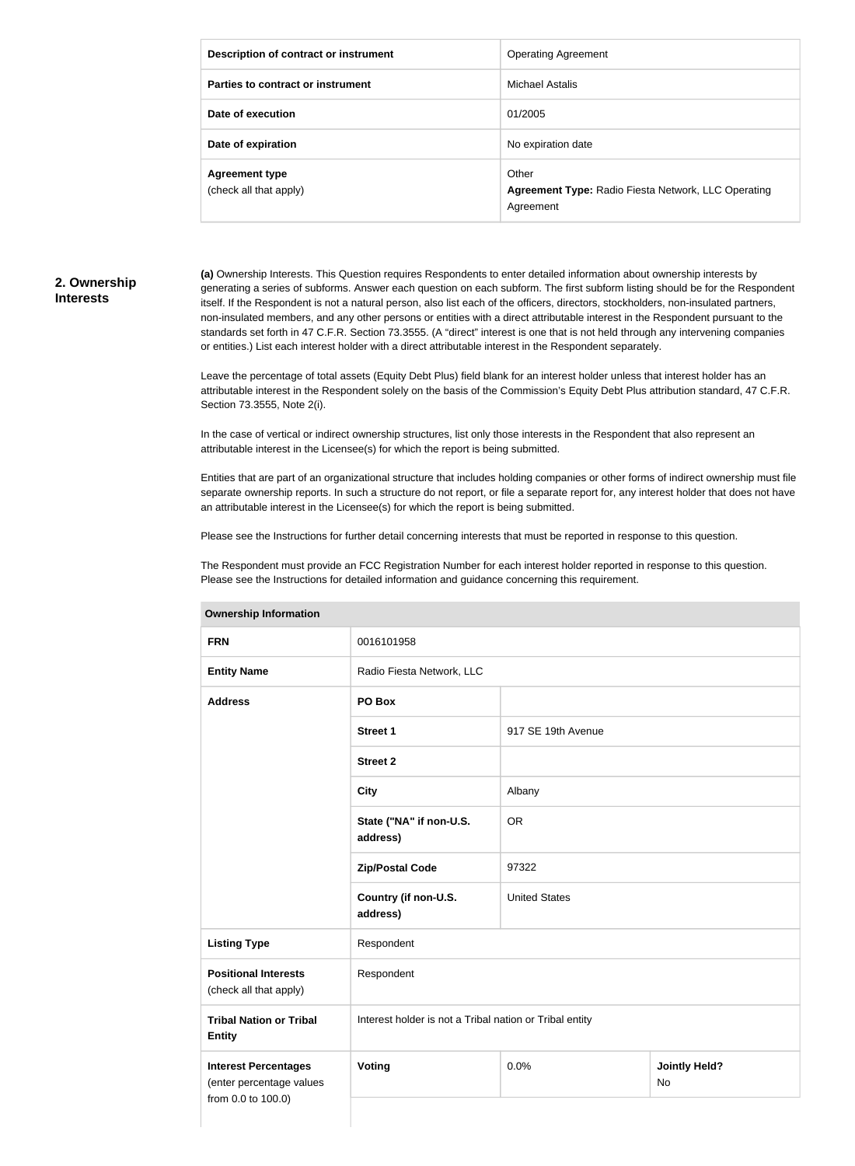| Description of contract or instrument           | <b>Operating Agreement</b>                                                       |
|-------------------------------------------------|----------------------------------------------------------------------------------|
| Parties to contract or instrument               | Michael Astalis                                                                  |
| Date of execution                               | 01/2005                                                                          |
| Date of expiration                              | No expiration date                                                               |
| <b>Agreement type</b><br>(check all that apply) | Other<br><b>Agreement Type: Radio Fiesta Network, LLC Operating</b><br>Agreement |

#### **2. Ownership Interests**

**(a)** Ownership Interests. This Question requires Respondents to enter detailed information about ownership interests by generating a series of subforms. Answer each question on each subform. The first subform listing should be for the Respondent itself. If the Respondent is not a natural person, also list each of the officers, directors, stockholders, non-insulated partners, non-insulated members, and any other persons or entities with a direct attributable interest in the Respondent pursuant to the standards set forth in 47 C.F.R. Section 73.3555. (A "direct" interest is one that is not held through any intervening companies or entities.) List each interest holder with a direct attributable interest in the Respondent separately.

Leave the percentage of total assets (Equity Debt Plus) field blank for an interest holder unless that interest holder has an attributable interest in the Respondent solely on the basis of the Commission's Equity Debt Plus attribution standard, 47 C.F.R. Section 73.3555, Note 2(i).

In the case of vertical or indirect ownership structures, list only those interests in the Respondent that also represent an attributable interest in the Licensee(s) for which the report is being submitted.

Entities that are part of an organizational structure that includes holding companies or other forms of indirect ownership must file separate ownership reports. In such a structure do not report, or file a separate report for, any interest holder that does not have an attributable interest in the Licensee(s) for which the report is being submitted.

Please see the Instructions for further detail concerning interests that must be reported in response to this question.

The Respondent must provide an FCC Registration Number for each interest holder reported in response to this question. Please see the Instructions for detailed information and guidance concerning this requirement.

| <b>FRN</b>                                                                    | 0016101958                                              |                      |                                   |
|-------------------------------------------------------------------------------|---------------------------------------------------------|----------------------|-----------------------------------|
|                                                                               |                                                         |                      |                                   |
| <b>Entity Name</b>                                                            | Radio Fiesta Network, LLC                               |                      |                                   |
| <b>Address</b>                                                                | PO Box                                                  |                      |                                   |
|                                                                               | <b>Street 1</b>                                         | 917 SE 19th Avenue   |                                   |
|                                                                               | <b>Street 2</b>                                         |                      |                                   |
|                                                                               | <b>City</b>                                             | Albany               |                                   |
|                                                                               | State ("NA" if non-U.S.<br>address)                     | <b>OR</b>            |                                   |
|                                                                               | <b>Zip/Postal Code</b>                                  | 97322                |                                   |
|                                                                               | Country (if non-U.S.<br>address)                        | <b>United States</b> |                                   |
| <b>Listing Type</b>                                                           | Respondent                                              |                      |                                   |
| <b>Positional Interests</b><br>(check all that apply)                         | Respondent                                              |                      |                                   |
| <b>Tribal Nation or Tribal</b><br><b>Entity</b>                               | Interest holder is not a Tribal nation or Tribal entity |                      |                                   |
| <b>Interest Percentages</b><br>(enter percentage values<br>from 0.0 to 100.0) | Voting                                                  | 0.0%                 | <b>Jointly Held?</b><br><b>No</b> |

#### **Ownership Information**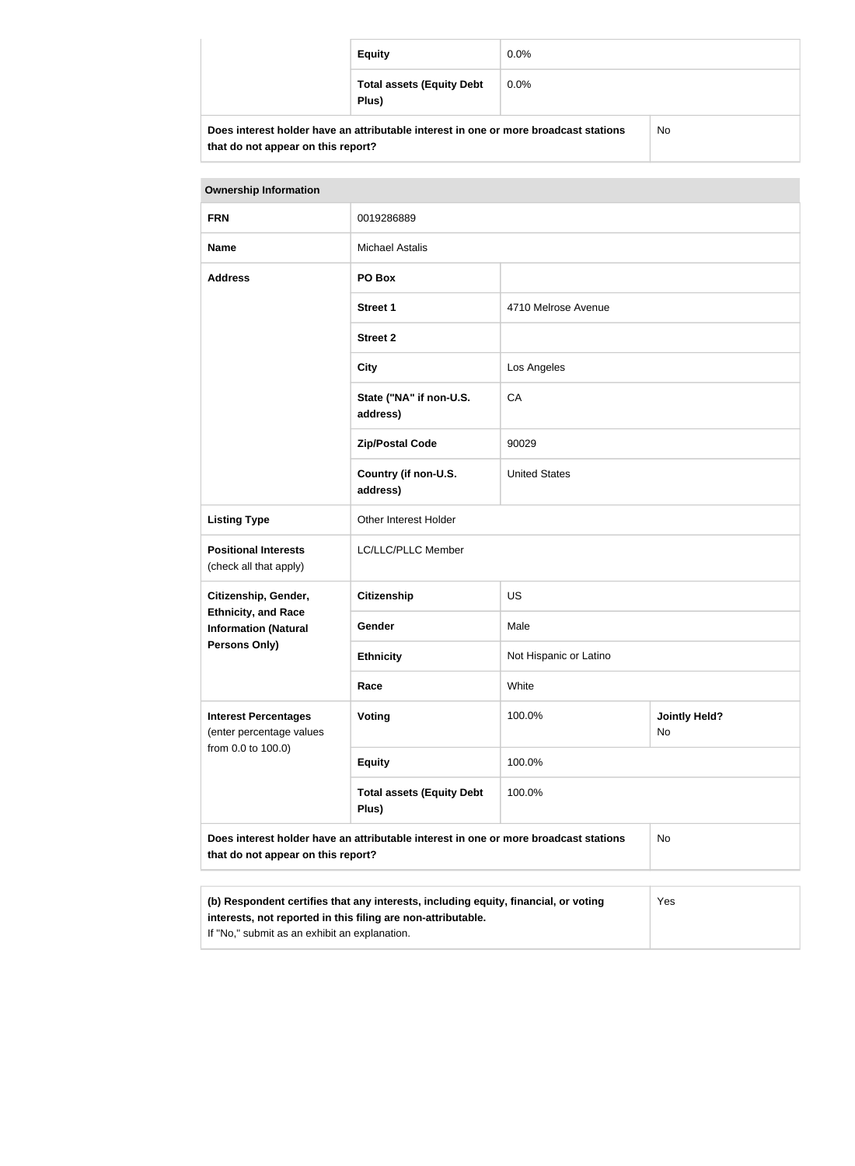| <b>Equity</b>                                                                        | $0.0\%$ |    |
|--------------------------------------------------------------------------------------|---------|----|
| <b>Total assets (Equity Debt</b><br>Plus)                                            | $0.0\%$ |    |
| Does interest holder have an attributable interest in one or more broadcast stations |         | No |

| <b>Ownership Information</b>                                                                                                                        |                                           |                        |                            |
|-----------------------------------------------------------------------------------------------------------------------------------------------------|-------------------------------------------|------------------------|----------------------------|
| <b>FRN</b>                                                                                                                                          | 0019286889                                |                        |                            |
| <b>Name</b>                                                                                                                                         | <b>Michael Astalis</b>                    |                        |                            |
| <b>Address</b>                                                                                                                                      | PO Box                                    |                        |                            |
|                                                                                                                                                     | <b>Street 1</b>                           | 4710 Melrose Avenue    |                            |
|                                                                                                                                                     | <b>Street 2</b>                           |                        |                            |
|                                                                                                                                                     | <b>City</b>                               | Los Angeles            |                            |
|                                                                                                                                                     | State ("NA" if non-U.S.<br>address)       | CA                     |                            |
|                                                                                                                                                     | <b>Zip/Postal Code</b>                    | 90029                  |                            |
|                                                                                                                                                     | Country (if non-U.S.<br>address)          | <b>United States</b>   |                            |
| <b>Listing Type</b>                                                                                                                                 | Other Interest Holder                     |                        |                            |
| <b>Positional Interests</b><br>(check all that apply)                                                                                               | LC/LLC/PLLC Member                        |                        |                            |
| Citizenship, Gender,                                                                                                                                | <b>Citizenship</b>                        | <b>US</b>              |                            |
| <b>Ethnicity, and Race</b><br><b>Information (Natural</b>                                                                                           | Gender                                    | Male                   |                            |
| <b>Persons Only)</b>                                                                                                                                | <b>Ethnicity</b>                          | Not Hispanic or Latino |                            |
|                                                                                                                                                     | Race                                      | White                  |                            |
| <b>Interest Percentages</b><br>(enter percentage values<br>from 0.0 to 100.0)                                                                       | <b>Voting</b>                             | 100.0%                 | <b>Jointly Held?</b><br>No |
|                                                                                                                                                     | <b>Equity</b>                             | 100.0%                 |                            |
|                                                                                                                                                     | <b>Total assets (Equity Debt</b><br>Plus) | 100.0%                 |                            |
| Does interest holder have an attributable interest in one or more broadcast stations<br><b>No</b><br>that do not appear on this report?             |                                           |                        |                            |
| (b) Respondent certifies that any interests, including equity, financial, or voting<br>interests, not reported in this filing are non-attributable. |                                           |                        | Yes                        |

If "No," submit as an exhibit an explanation.

**that do not appear on this report?**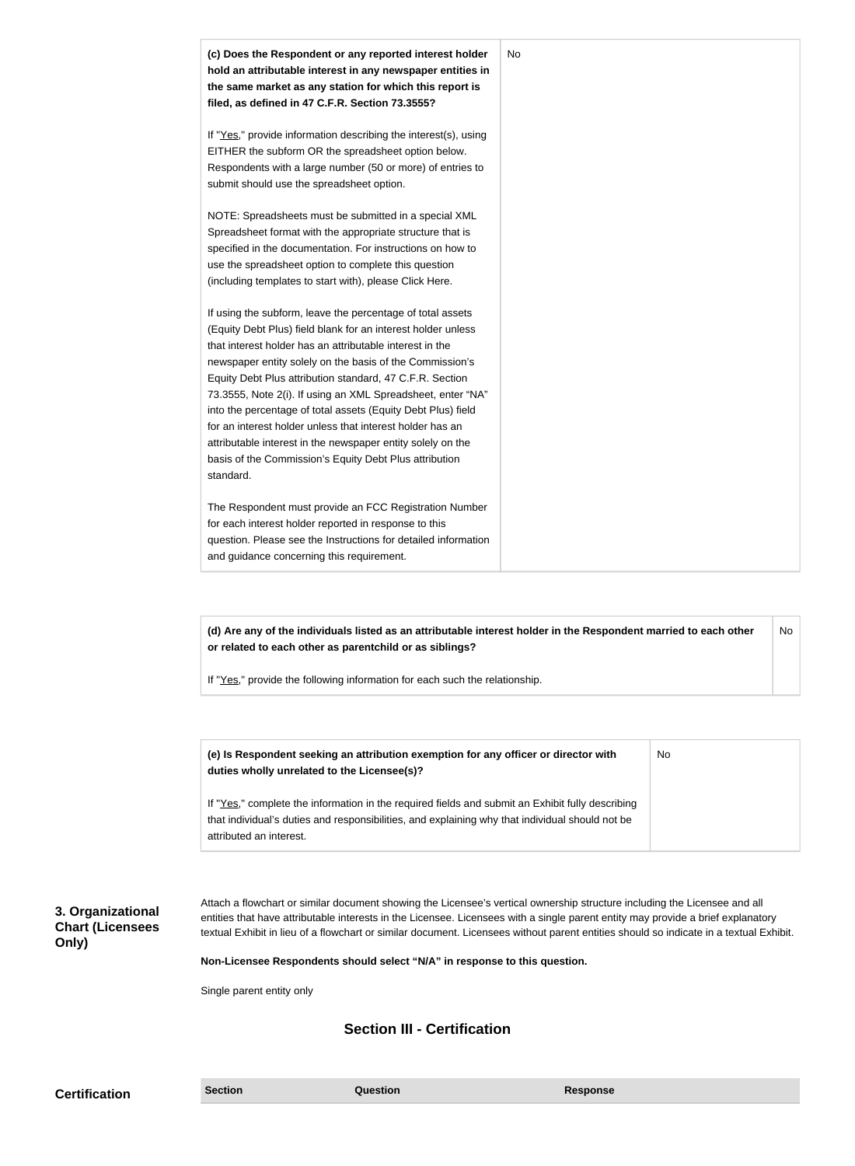| (c) Does the Respondent or any reported interest holder<br>hold an attributable interest in any newspaper entities in<br>the same market as any station for which this report is<br>filed, as defined in 47 C.F.R. Section 73.3555?                                                                                                                                                                                                                                                                                                                                                                                                              | No |
|--------------------------------------------------------------------------------------------------------------------------------------------------------------------------------------------------------------------------------------------------------------------------------------------------------------------------------------------------------------------------------------------------------------------------------------------------------------------------------------------------------------------------------------------------------------------------------------------------------------------------------------------------|----|
| If "Yes," provide information describing the interest(s), using<br>EITHER the subform OR the spreadsheet option below.<br>Respondents with a large number (50 or more) of entries to<br>submit should use the spreadsheet option.                                                                                                                                                                                                                                                                                                                                                                                                                |    |
| NOTE: Spreadsheets must be submitted in a special XML<br>Spreadsheet format with the appropriate structure that is<br>specified in the documentation. For instructions on how to<br>use the spreadsheet option to complete this question<br>(including templates to start with), please Click Here.                                                                                                                                                                                                                                                                                                                                              |    |
| If using the subform, leave the percentage of total assets<br>(Equity Debt Plus) field blank for an interest holder unless<br>that interest holder has an attributable interest in the<br>newspaper entity solely on the basis of the Commission's<br>Equity Debt Plus attribution standard, 47 C.F.R. Section<br>73.3555, Note 2(i). If using an XML Spreadsheet, enter "NA"<br>into the percentage of total assets (Equity Debt Plus) field<br>for an interest holder unless that interest holder has an<br>attributable interest in the newspaper entity solely on the<br>basis of the Commission's Equity Debt Plus attribution<br>standard. |    |
| The Respondent must provide an FCC Registration Number<br>for each interest holder reported in response to this<br>question. Please see the Instructions for detailed information<br>and guidance concerning this requirement.                                                                                                                                                                                                                                                                                                                                                                                                                   |    |

**(d) Are any of the individuals listed as an attributable interest holder in the Respondent married to each other or related to each other as parentchild or as siblings?** No

If "Yes," provide the following information for each such the relationship.

| (e) Is Respondent seeking an attribution exemption for any officer or director with<br>duties wholly unrelated to the Licensee(s)? | No. |
|------------------------------------------------------------------------------------------------------------------------------------|-----|
| If "Yes," complete the information in the required fields and submit an Exhibit fully describing                                   |     |
| that individual's duties and responsibilities, and explaining why that individual should not be                                    |     |
| attributed an interest.                                                                                                            |     |

**3. Organizational Chart (Licensees Only)**

Attach a flowchart or similar document showing the Licensee's vertical ownership structure including the Licensee and all entities that have attributable interests in the Licensee. Licensees with a single parent entity may provide a brief explanatory textual Exhibit in lieu of a flowchart or similar document. Licensees without parent entities should so indicate in a textual Exhibit.

**Non-Licensee Respondents should select "N/A" in response to this question.**

Single parent entity only

# **Section III - Certification**

**Certification Section Section Question** *Question* **Response**